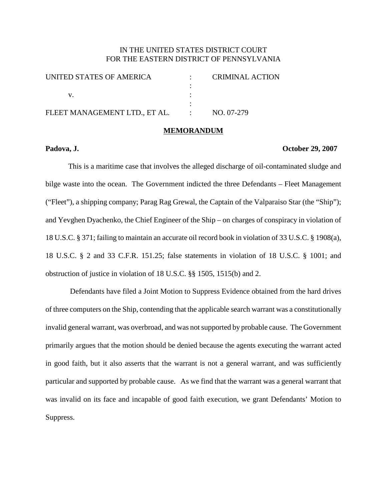# IN THE UNITED STATES DISTRICT COURT FOR THE EASTERN DISTRICT OF PENNSYLVANIA

| UNITED STATES OF AMERICA      |               | CRIMINAL ACTION |
|-------------------------------|---------------|-----------------|
|                               |               |                 |
|                               |               |                 |
|                               |               |                 |
| FLEET MANAGEMENT LTD., ET AL. | $\mathcal{L}$ | NO. 07-279      |
|                               |               |                 |

## **MEMORANDUM**

#### **Padova, J. October 29, 2007**

This is a maritime case that involves the alleged discharge of oil-contaminated sludge and bilge waste into the ocean. The Government indicted the three Defendants – Fleet Management ("Fleet"), a shipping company; Parag Rag Grewal, the Captain of the Valparaiso Star (the "Ship"); and Yevghen Dyachenko, the Chief Engineer of the Ship – on charges of conspiracy in violation of 18 U.S.C. § 371; failing to maintain an accurate oil record book in violation of 33 U.S.C. § 1908(a), 18 U.S.C. § 2 and 33 C.F.R. 151.25; false statements in violation of 18 U.S.C. § 1001; and obstruction of justice in violation of 18 U.S.C. §§ 1505, 1515(b) and 2.

Defendants have filed a Joint Motion to Suppress Evidence obtained from the hard drives of three computers on the Ship, contending that the applicable search warrant was a constitutionally invalid general warrant, was overbroad, and was notsupported by probable cause. The Government primarily argues that the motion should be denied because the agents executing the warrant acted in good faith, but it also asserts that the warrant is not a general warrant, and was sufficiently particular and supported by probable cause. As we find that the warrant was a general warrant that was invalid on its face and incapable of good faith execution, we grant Defendants' Motion to Suppress.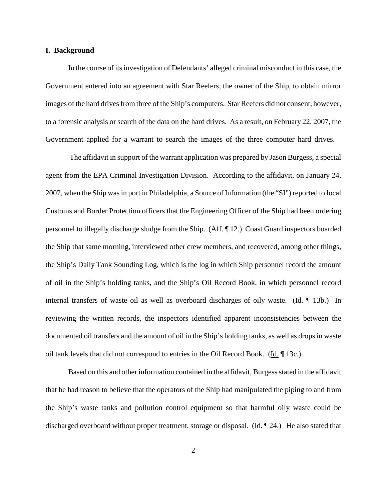#### **I. Background**

In the course of itsinvestigation of Defendants' alleged criminal misconduct in this case, the Government entered into an agreement with Star Reefers, the owner of the Ship, to obtain mirror images of the hard drives from three of the Ship's computers. Star Reefers did not consent, however, to a forensic analysis or search of the data on the hard drives. As a result, on February 22, 2007, the Government applied for a warrant to search the images of the three computer hard drives.

The affidavit in support of the warrant application was prepared by Jason Burgess, a special agent from the EPA Criminal Investigation Division. According to the affidavit, on January 24, 2007, when the Ship wasin port in Philadelphia, a Source of Information (the "SI") reported to local Customs and Border Protection officers that the Engineering Officer of the Ship had been ordering personnel to illegally discharge sludge from the Ship. (Aff. ¶ 12.) Coast Guard inspectors boarded the Ship that same morning, interviewed other crew members, and recovered, among other things, the Ship's Daily Tank Sounding Log, which is the log in which Ship personnel record the amount of oil in the Ship's holding tanks, and the Ship's Oil Record Book, in which personnel record internal transfers of waste oil as well as overboard discharges of oily waste. (Id. ¶ 13b.) In reviewing the written records, the inspectors identified apparent inconsistencies between the documented oil transfers and the amount of oil in the Ship's holding tanks, as well as dropsin waste oil tank levels that did not correspond to entries in the Oil Record Book. (Id. ¶ 13c.)

Based on this and other information contained in the affidavit, Burgess stated in the affidavit that he had reason to believe that the operators of the Ship had manipulated the piping to and from the Ship's waste tanks and pollution control equipment so that harmful oily waste could be discharged overboard without proper treatment, storage or disposal. ( $\underline{Id}$ ,  $\P$  24.) He also stated that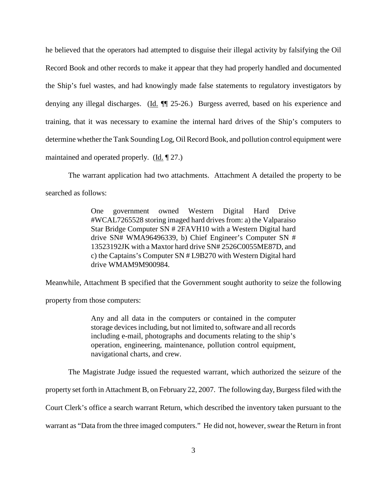he believed that the operators had attempted to disguise their illegal activity by falsifying the Oil Record Book and other records to make it appear that they had properly handled and documented the Ship's fuel wastes, and had knowingly made false statements to regulatory investigators by denying any illegal discharges. (Id.  $\P$  25-26.) Burgess averred, based on his experience and training, that it was necessary to examine the internal hard drives of the Ship's computers to determine whether the Tank Sounding Log, Oil Record Book, and pollution control equipment were maintained and operated properly.  $(\underline{Id} \cdot \P 27.)$ 

The warrant application had two attachments. Attachment A detailed the property to be searched as follows:

> One government owned Western Digital Hard Drive #WCAL7265528 storing imaged hard drives from: a) the Valparaiso Star Bridge Computer SN # 2FAVH10 with a Western Digital hard drive SN# WMA96496339, b) Chief Engineer's Computer SN # 13523192JK with a Maxtor hard drive SN# 2526C0055ME87D, and c) the Captains's Computer SN # L9B270 with Western Digital hard drive WMAM9M900984.

Meanwhile, Attachment B specified that the Government sought authority to seize the following property from those computers:

> Any and all data in the computers or contained in the computer storage devices including, but not limited to, software and all records including e-mail, photographs and documents relating to the ship's operation, engineering, maintenance, pollution control equipment, navigational charts, and crew.

The Magistrate Judge issued the requested warrant, which authorized the seizure of the

property set forth in Attachment B, on February 22, 2007. The following day, Burgessfiled with the

Court Clerk's office a search warrant Return, which described the inventory taken pursuant to the

warrant as "Data from the three imaged computers." He did not, however, swear the Return in front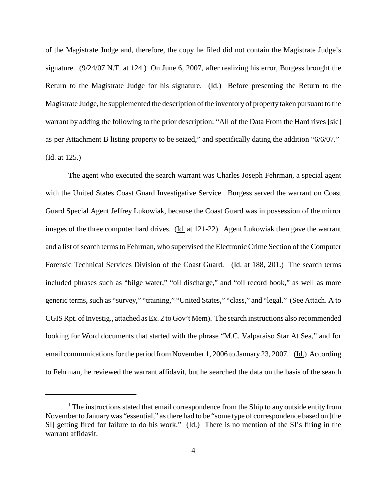of the Magistrate Judge and, therefore, the copy he filed did not contain the Magistrate Judge's signature. (9/24/07 N.T. at 124.) On June 6, 2007, after realizing his error, Burgess brought the Return to the Magistrate Judge for his signature. (Id.) Before presenting the Return to the Magistrate Judge, he supplemented the description of the inventory of property taken pursuant to the warrant by adding the following to the prior description: "All of the Data From the Hard rives [sic] as per Attachment B listing property to be seized," and specifically dating the addition "6/6/07." (Id. at 125.)

The agent who executed the search warrant was Charles Joseph Fehrman, a special agent with the United States Coast Guard Investigative Service. Burgess served the warrant on Coast Guard Special Agent Jeffrey Lukowiak, because the Coast Guard was in possession of the mirror images of the three computer hard drives. (Id. at 121-22). Agent Lukowiak then gave the warrant and a list of search terms to Fehrman, who supervised the Electronic Crime Section of the Computer Forensic Technical Services Division of the Coast Guard. (Id. at 188, 201.) The search terms included phrases such as "bilge water," "oil discharge," and "oil record book," as well as more generic terms, such as "survey," "training," "United States," "class," and "legal." (See Attach. A to CGIS Rpt. of Investig., attached as Ex. 2 to Gov't Mem). The search instructions also recommended looking for Word documents that started with the phrase "M.C. Valparaiso Star At Sea," and for email communications for the period from November 1, 2006 to January 23, 2007.<sup>1</sup> (Id.) According to Fehrman, he reviewed the warrant affidavit, but he searched the data on the basis of the search

 $<sup>1</sup>$  The instructions stated that email correspondence from the Ship to any outside entity from</sup> November to Januarywas "essential," asthere had to be "some type of correspondence based on [the SI] getting fired for failure to do his work." (Id.) There is no mention of the SI's firing in the warrant affidavit.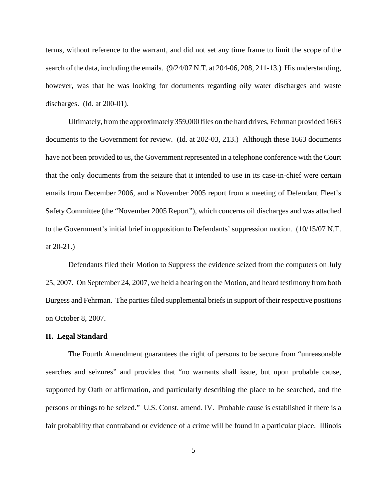terms, without reference to the warrant, and did not set any time frame to limit the scope of the search of the data, including the emails. (9/24/07 N.T. at 204-06, 208, 211-13.) His understanding, however, was that he was looking for documents regarding oily water discharges and waste discharges. (Id. at 200-01).

Ultimately, from the approximately 359,000 files on the hard drives, Fehrman provided 1663 documents to the Government for review. (Id. at 202-03, 213.) Although these 1663 documents have not been provided to us, the Government represented in a telephone conference with the Court that the only documents from the seizure that it intended to use in its case-in-chief were certain emails from December 2006, and a November 2005 report from a meeting of Defendant Fleet's Safety Committee (the "November 2005 Report"), which concerns oil discharges and was attached to the Government's initial brief in opposition to Defendants' suppression motion. (10/15/07 N.T. at 20-21.)

Defendants filed their Motion to Suppress the evidence seized from the computers on July 25, 2007. On September 24, 2007, we held a hearing on the Motion, and heard testimony from both Burgess and Fehrman. The parties filed supplemental briefs in support of their respective positions on October 8, 2007.

### **II. Legal Standard**

The Fourth Amendment guarantees the right of persons to be secure from "unreasonable searches and seizures" and provides that "no warrants shall issue, but upon probable cause, supported by Oath or affirmation, and particularly describing the place to be searched, and the persons or things to be seized." U.S. Const. amend. IV. Probable cause is established if there is a fair probability that contraband or evidence of a crime will be found in a particular place. Illinois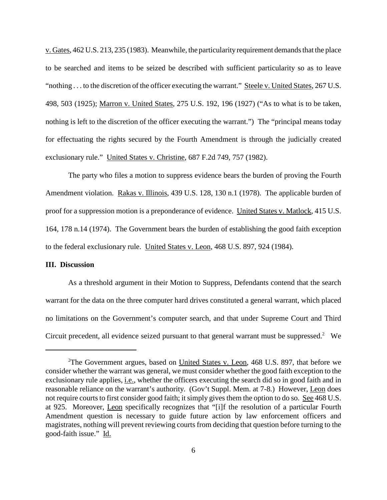v. Gates,  $462$  U.S.  $213$ ,  $235$  (1983). Meanwhile, the particularity requirement demands that the place to be searched and items to be seized be described with sufficient particularity so as to leave "nothing . . . to the discretion of the officer executing the warrant." Steele v. United States, 267 U.S. 498, 503 (1925); Marron v. United States, 275 U.S. 192, 196 (1927) ("As to what is to be taken, nothing is left to the discretion of the officer executing the warrant.") The "principal means today for effectuating the rights secured by the Fourth Amendment is through the judicially created exclusionary rule." United States v. Christine, 687 F.2d 749, 757 (1982).

The party who files a motion to suppress evidence bears the burden of proving the Fourth Amendment violation. Rakas v. Illinois, 439 U.S. 128, 130 n.1 (1978). The applicable burden of proof for a suppression motion is a preponderance of evidence. United States v. Matlock, 415 U.S. 164, 178 n.14 (1974). The Government bears the burden of establishing the good faith exception to the federal exclusionary rule. United States v. Leon, 468 U.S. 897, 924 (1984).

## **III. Discussion**

As a threshold argument in their Motion to Suppress, Defendants contend that the search warrant for the data on the three computer hard drives constituted a general warrant, which placed no limitations on the Government's computer search, and that under Supreme Court and Third Circuit precedent, all evidence seized pursuant to that general warrant must be suppressed.<sup>2</sup> We

<sup>&</sup>lt;sup>2</sup>The Government argues, based on *United States v. Leon*, 468 U.S. 897, that before we consider whether the warrant was general, we must consider whether the good faith exception to the exclusionary rule applies, i.e., whether the officers executing the search did so in good faith and in reasonable reliance on the warrant's authority. (Gov't Suppl. Mem. at 7-8.) However, Leon does not require courts to first consider good faith; it simply gives them the option to do so. See 468 U.S. at 925. Moreover, Leon specifically recognizes that "[i]f the resolution of a particular Fourth Amendment question is necessary to guide future action by law enforcement officers and magistrates, nothing will prevent reviewing courts from deciding that question before turning to the good-faith issue." Id.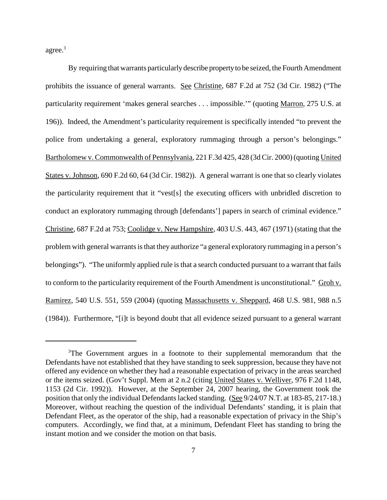agree. 3

By requiring that warrants particularly describe property to be seized, the Fourth Amendment prohibits the issuance of general warrants. See Christine, 687 F.2d at 752 (3d Cir. 1982) ("The particularity requirement 'makes general searches . . . impossible.'" (quoting Marron, 275 U.S. at 196)). Indeed, the Amendment's particularity requirement is specifically intended "to prevent the police from undertaking a general, exploratory rummaging through a person's belongings." Bartholomew v. Commonwealth of Pennsylvania, 221 F.3d 425, 428 (3d Cir. 2000) (quoting United States v. Johnson, 690 F.2d 60, 64 (3d Cir. 1982)). A general warrant is one that so clearly violates the particularity requirement that it "vest[s] the executing officers with unbridled discretion to conduct an exploratory rummaging through [defendants'] papers in search of criminal evidence." Christine, 687 F.2d at 753; Coolidge v. New Hampshire, 403 U.S. 443, 467 (1971) (stating that the problem with general warrants is that they authorize "a general exploratory rummaging in a person's belongings"). "The uniformly applied rule is that a search conducted pursuant to a warrant that fails to conform to the particularity requirement of the Fourth Amendment is unconstitutional." Groh v. Ramirez, 540 U.S. 551, 559 (2004) (quoting Massachusetts v. Sheppard, 468 U.S. 981, 988 n.5 (1984)). Furthermore, "[i]t is beyond doubt that all evidence seized pursuant to a general warrant

<sup>&</sup>lt;sup>3</sup>The Government argues in a footnote to their supplemental memorandum that the Defendants have not established that they have standing to seek suppression, because they have not offered any evidence on whether they had a reasonable expectation of privacy in the areas searched or the items seized. (Gov't Suppl. Mem at 2 n.2 (citing United States v. Welliver, 976 F.2d 1148, 1153 (2d Cir. 1992)). However, at the September 24, 2007 hearing, the Government took the position that only the individual Defendants lacked standing. (See 9/24/07 N.T. at 183-85, 217-18.) Moreover, without reaching the question of the individual Defendants' standing, it is plain that Defendant Fleet, as the operator of the ship, had a reasonable expectation of privacy in the Ship's computers. Accordingly, we find that, at a minimum, Defendant Fleet has standing to bring the instant motion and we consider the motion on that basis.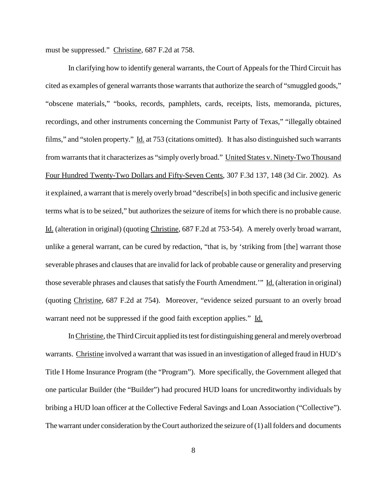must be suppressed." Christine, 687 F.2d at 758.

In clarifying how to identify general warrants, the Court of Appeals for the Third Circuit has cited as examples of general warrantsthose warrants that authorize the search of "smuggled goods," "obscene materials," "books, records, pamphlets, cards, receipts, lists, memoranda, pictures, recordings, and other instruments concerning the Communist Party of Texas," "illegally obtained films," and "stolen property." Id. at 753 (citations omitted). It has also distinguished such warrants from warrants that it characterizes as "simply overly broad." United States v. Ninety-Two Thousand Four Hundred Twenty-Two Dollars and Fifty-Seven Cents, 307 F.3d 137, 148 (3d Cir. 2002). As it explained, a warrant that is merely overly broad "describe[s] in both specific and inclusive generic terms what is to be seized," but authorizes the seizure of items for which there is no probable cause. Id. (alteration in original) (quoting Christine, 687 F.2d at 753-54). A merely overly broad warrant, unlike a general warrant, can be cured by redaction, "that is, by 'striking from [the] warrant those severable phrases and clausesthat are invalid for lack of probable cause or generality and preserving those severable phrases and clauses that satisfy the Fourth Amendment.'" Id. (alteration in original) (quoting Christine, 687 F.2d at 754). Moreover, "evidence seized pursuant to an overly broad warrant need not be suppressed if the good faith exception applies." Id.

In Christine, the Third Circuit applied its test for distinguishing general and merely overbroad warrants. Christine involved a warrant that was issued in an investigation of alleged fraud in HUD's Title I Home Insurance Program (the "Program"). More specifically, the Government alleged that one particular Builder (the "Builder") had procured HUD loans for uncreditworthy individuals by bribing a HUD loan officer at the Collective Federal Savings and Loan Association ("Collective"). The warrant under consideration by the Court authorized the seizure of  $(1)$  all folders and documents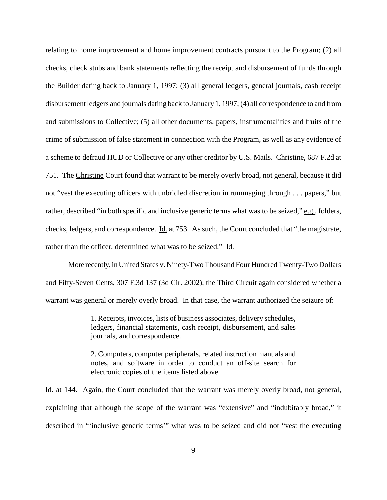relating to home improvement and home improvement contracts pursuant to the Program; (2) all checks, check stubs and bank statements reflecting the receipt and disbursement of funds through the Builder dating back to January 1, 1997; (3) all general ledgers, general journals, cash receipt disbursement ledgers and journals dating back to January1, 1997;(4) all correspondence to and from and submissions to Collective; (5) all other documents, papers, instrumentalities and fruits of the crime of submission of false statement in connection with the Program, as well as any evidence of a scheme to defraud HUD or Collective or any other creditor by U.S. Mails. Christine, 687 F.2d at 751. The Christine Court found that warrant to be merely overly broad, not general, because it did not "vest the executing officers with unbridled discretion in rummaging through . . . papers," but rather, described "in both specific and inclusive generic terms what was to be seized," e.g., folders, checks, ledgers, and correspondence. Id. at 753. As such, the Court concluded that "the magistrate, rather than the officer, determined what was to be seized." Id.

More recently, inUnited States v. Ninety-TwoThousand Four HundredTwenty-Two Dollars and Fifty-Seven Cents, 307 F.3d 137 (3d Cir. 2002), the Third Circuit again considered whether a warrant was general or merely overly broad. In that case, the warrant authorized the seizure of:

> 1. Receipts, invoices, lists of business associates, delivery schedules, ledgers, financial statements, cash receipt, disbursement, and sales journals, and correspondence.

> 2. Computers, computer peripherals, related instruction manuals and notes, and software in order to conduct an off-site search for electronic copies of the items listed above.

Id. at 144. Again, the Court concluded that the warrant was merely overly broad, not general, explaining that although the scope of the warrant was "extensive" and "indubitably broad," it described in "'inclusive generic terms'" what was to be seized and did not "vest the executing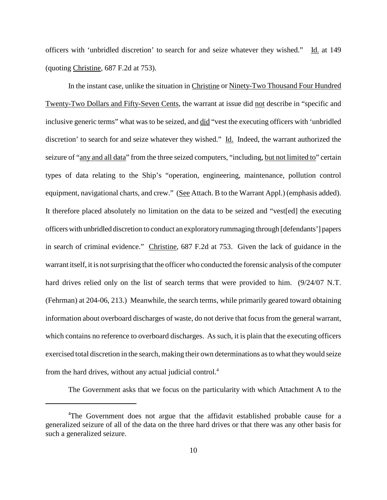officers with 'unbridled discretion' to search for and seize whatever they wished." Id. at 149 (quoting Christine, 687 F.2d at 753).

In the instant case, unlike the situation in Christine or Ninety-Two Thousand Four Hundred Twenty-Two Dollars and Fifty-Seven Cents, the warrant at issue did not describe in "specific and inclusive generic terms" what was to be seized, and did "vest the executing officers with 'unbridled discretion' to search for and seize whatever they wished." Id. Indeed, the warrant authorized the seizure of "any and all data" from the three seized computers, "including, but not limited to" certain types of data relating to the Ship's "operation, engineering, maintenance, pollution control equipment, navigational charts, and crew." (See Attach. B to the Warrant Appl.) (emphasis added). It therefore placed absolutely no limitation on the data to be seized and "vest[ed] the executing officerswith unbridled discretion to conduct an exploratoryrummaging through [defendants'] papers in search of criminal evidence." Christine, 687 F.2d at 753. Given the lack of guidance in the warrant itself, it is not surprising that the officer who conducted the forensic analysis of the computer hard drives relied only on the list of search terms that were provided to him. (9/24/07 N.T.) (Fehrman) at 204-06, 213.) Meanwhile, the search terms, while primarily geared toward obtaining information about overboard discharges of waste, do not derive that focusfrom the general warrant, which contains no reference to overboard discharges. As such, it is plain that the executing officers exercised total discretion in the search, making their own determinations asto what theywould seize from the hard drives, without any actual judicial control.<sup>4</sup>

The Government asks that we focus on the particularity with which Attachment A to the

<sup>&</sup>lt;sup>4</sup>The Government does not argue that the affidavit established probable cause for a generalized seizure of all of the data on the three hard drives or that there was any other basis for such a generalized seizure.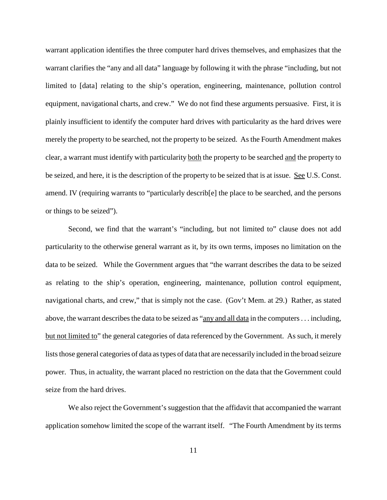warrant application identifies the three computer hard drives themselves, and emphasizes that the warrant clarifies the "any and all data" language by following it with the phrase "including, but not limited to [data] relating to the ship's operation, engineering, maintenance, pollution control equipment, navigational charts, and crew." We do not find these arguments persuasive. First, it is plainly insufficient to identify the computer hard drives with particularity as the hard drives were merely the property to be searched, not the property to be seized. As the Fourth Amendment makes clear, a warrant must identify with particularity both the property to be searched and the property to be seized, and here, it is the description of the property to be seized that is at issue. See U.S. Const. amend. IV (requiring warrants to "particularly describ[e] the place to be searched, and the persons or things to be seized").

Second, we find that the warrant's "including, but not limited to" clause does not add particularity to the otherwise general warrant as it, by its own terms, imposes no limitation on the data to be seized. While the Government argues that "the warrant describes the data to be seized as relating to the ship's operation, engineering, maintenance, pollution control equipment, navigational charts, and crew," that is simply not the case. (Gov't Mem. at 29.) Rather, as stated above, the warrant describes the data to be seized as "any and all data in the computers... including, but not limited to" the general categories of data referenced by the Government. As such, it merely lists those general categories of data as types of data that are necessarily included in the broad seizure power. Thus, in actuality, the warrant placed no restriction on the data that the Government could seize from the hard drives.

We also reject the Government's suggestion that the affidavit that accompanied the warrant application somehow limited the scope of the warrant itself. "The Fourth Amendment by its terms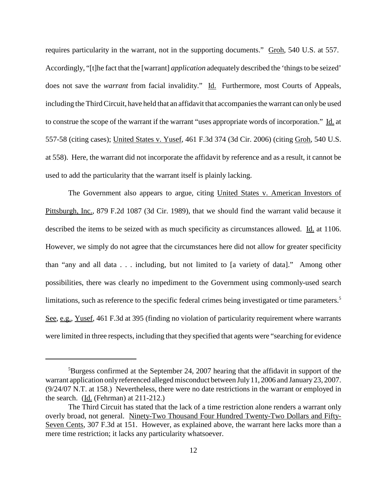requires particularity in the warrant, not in the supporting documents." Groh, 540 U.S. at 557. Accordingly, "[t]he fact that the [warrant] *application* adequately described the 'things to be seized' does not save the *warrant* from facial invalidity." Id. Furthermore, most Courts of Appeals, including the Third Circuit, have held that an affidavit that accompanies the warrant can only be used to construe the scope of the warrant if the warrant "uses appropriate words of incorporation." Id. at 557-58 (citing cases); United States v. Yusef, 461 F.3d 374 (3d Cir. 2006) (citing Groh, 540 U.S. at 558). Here, the warrant did not incorporate the affidavit by reference and as a result, it cannot be used to add the particularity that the warrant itself is plainly lacking.

The Government also appears to argue, citing United States v. American Investors of Pittsburgh, Inc., 879 F.2d 1087 (3d Cir. 1989), that we should find the warrant valid because it described the items to be seized with as much specificity as circumstances allowed. Id. at 1106. However, we simply do not agree that the circumstances here did not allow for greater specificity than "any and all data . . . including, but not limited to [a variety of data]." Among other possibilities, there was clearly no impediment to the Government using commonly-used search limitations, such as reference to the specific federal crimes being investigated or time parameters. 5 See, e.g., Yusef, 461 F.3d at 395 (finding no violation of particularity requirement where warrants were limited in three respects, including that they specified that agents were "searching for evidence

<sup>&</sup>lt;sup>5</sup>Burgess confirmed at the September 24, 2007 hearing that the affidavit in support of the warrant application only referenced alleged misconduct between July 11, 2006 and January 23, 2007. (9/24/07 N.T. at 158.) Nevertheless, there were no date restrictions in the warrant or employed in the search. (Id. (Fehrman) at 211-212.)

The Third Circuit has stated that the lack of a time restriction alone renders a warrant only overly broad, not general. Ninety-Two Thousand Four Hundred Twenty-Two Dollars and Fifty-Seven Cents, 307 F.3d at 151. However, as explained above, the warrant here lacks more than a mere time restriction; it lacks any particularity whatsoever.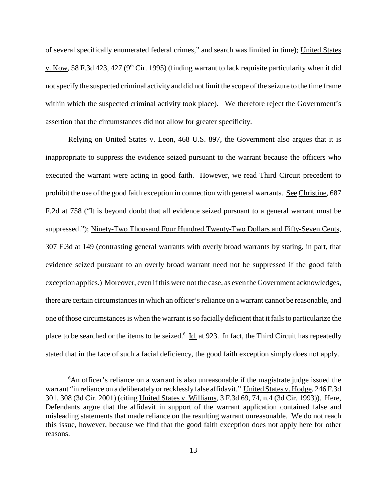of several specifically enumerated federal crimes," and search was limited in time); United States v. Kow, 58 F.3d 423, 427 ( $9<sup>th</sup>$  Cir. 1995) (finding warrant to lack requisite particularity when it did notspecify the suspected criminal activity and did not limit the scope of the seizure to the time frame within which the suspected criminal activity took place). We therefore reject the Government's assertion that the circumstances did not allow for greater specificity.

Relying on United States v. Leon, 468 U.S. 897, the Government also argues that it is inappropriate to suppress the evidence seized pursuant to the warrant because the officers who executed the warrant were acting in good faith. However, we read Third Circuit precedent to prohibit the use of the good faith exception in connection with general warrants. See Christine, 687 F.2d at 758 ("It is beyond doubt that all evidence seized pursuant to a general warrant must be suppressed."); Ninety-Two Thousand Four Hundred Twenty-Two Dollars and Fifty-Seven Cents, 307 F.3d at 149 (contrasting general warrants with overly broad warrants by stating, in part, that evidence seized pursuant to an overly broad warrant need not be suppressed if the good faith exception applies.) Moreover, even ifthis were not the case, as even the Government acknowledges, there are certain circumstances in which an officer's reliance on a warrant cannot be reasonable, and one of those circumstancesis when the warrant isso facially deficient that it failsto particularize the place to be searched or the items to be seized.<sup>6</sup> Id. at 923. In fact, the Third Circuit has repeatedly stated that in the face of such a facial deficiency, the good faith exception simply does not apply.

<sup>&</sup>lt;sup>6</sup>An officer's reliance on a warrant is also unreasonable if the magistrate judge issued the warrant "in reliance on a deliberately or recklessly false affidavit." United States v. Hodge, 246 F.3d 301, 308 (3d Cir. 2001) (citing United States v. Williams, 3 F.3d 69, 74, n.4 (3d Cir. 1993)). Here, Defendants argue that the affidavit in support of the warrant application contained false and misleading statements that made reliance on the resulting warrant unreasonable. We do not reach this issue, however, because we find that the good faith exception does not apply here for other reasons.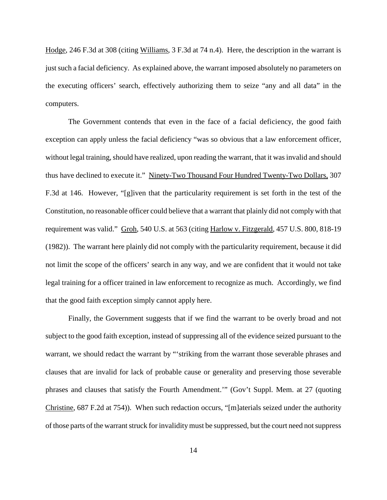Hodge, 246 F.3d at 308 (citing Williams, 3 F.3d at 74 n.4). Here, the description in the warrant is just such a facial deficiency. As explained above, the warrant imposed absolutely no parameters on the executing officers' search, effectively authorizing them to seize "any and all data" in the computers.

The Government contends that even in the face of a facial deficiency, the good faith exception can apply unless the facial deficiency "was so obvious that a law enforcement officer, without legal training, should have realized, upon reading the warrant, that it was invalid and should thus have declined to execute it." Ninety-Two Thousand Four Hundred Twenty-Two Dollars, 307 F.3d at 146. However, "[g]iven that the particularity requirement is set forth in the test of the Constitution, no reasonable officer could believe that a warrant that plainly did not comply with that requirement was valid." Groh, 540 U.S. at 563 (citing Harlow v. Fitzgerald, 457 U.S. 800, 818-19 (1982)). The warrant here plainly did not comply with the particularity requirement, because it did not limit the scope of the officers' search in any way, and we are confident that it would not take legal training for a officer trained in law enforcement to recognize as much. Accordingly, we find that the good faith exception simply cannot apply here.

Finally, the Government suggests that if we find the warrant to be overly broad and not subject to the good faith exception, instead of suppressing all of the evidence seized pursuant to the warrant, we should redact the warrant by "'striking from the warrant those severable phrases and clauses that are invalid for lack of probable cause or generality and preserving those severable phrases and clauses that satisfy the Fourth Amendment.'" (Gov't Suppl. Mem. at 27 (quoting Christine, 687 F.2d at 754)). When such redaction occurs, "[m]aterials seized under the authority of those parts of the warrant struck for invalidity must be suppressed, but the court need not suppress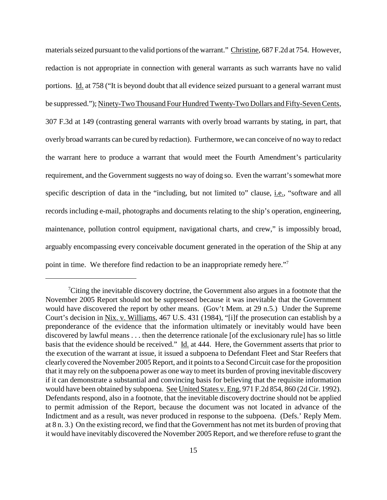materials seized pursuant to the valid portions of the warrant." Christine, 687 F.2d at 754. However, redaction is not appropriate in connection with general warrants as such warrants have no valid portions. Id. at 758 ("It is beyond doubt that all evidence seized pursuant to a general warrant must be suppressed."); Ninety-Two Thousand Four Hundred Twenty-Two Dollars and Fifty-Seven Cents, 307 F.3d at 149 (contrasting general warrants with overly broad warrants by stating, in part, that overly broad warrants can be cured by redaction). Furthermore, we can conceive of no way to redact the warrant here to produce a warrant that would meet the Fourth Amendment's particularity requirement, and the Government suggests no way of doing so. Even the warrant'ssomewhat more specific description of data in the "including, but not limited to" clause, *i.e.*, "software and all records including e-mail, photographs and documents relating to the ship's operation, engineering, maintenance, pollution control equipment, navigational charts, and crew," is impossibly broad, arguably encompassing every conceivable document generated in the operation of the Ship at any point in time. We therefore find redaction to be an inappropriate remedy here."7

<sup>&</sup>lt;sup>7</sup>Citing the inevitable discovery doctrine, the Government also argues in a footnote that the November 2005 Report should not be suppressed because it was inevitable that the Government would have discovered the report by other means. (Gov't Mem. at 29 n.5.) Under the Supreme Court's decision in Nix. v. Williams, 467 U.S. 431 (1984), "[i]f the prosecution can establish by a preponderance of the evidence that the information ultimately or inevitably would have been discovered by lawful means . . . then the deterrence rationale [of the exclusionary rule] has so little basis that the evidence should be received." Id. at 444. Here, the Government asserts that prior to the execution of the warrant at issue, it issued a subpoena to Defendant Fleet and Star Reefers that clearly covered the November 2005 Report, and it points to a Second Circuit case for the proposition that it may rely on the subpoena power as one way to meet its burden of proving inevitable discovery if it can demonstrate a substantial and convincing basis for believing that the requisite information would have been obtained by subpoena. See United States v. Eng, 971 F.2d 854, 860 (2d Cir. 1992). Defendants respond, also in a footnote, that the inevitable discovery doctrine should not be applied to permit admission of the Report, because the document was not located in advance of the Indictment and as a result, was never produced in response to the subpoena. (Defs.' Reply Mem. at 8 n. 3.) On the existing record, we find that the Government has not met its burden of proving that it would have inevitably discovered the November 2005 Report, and we therefore refuse to grant the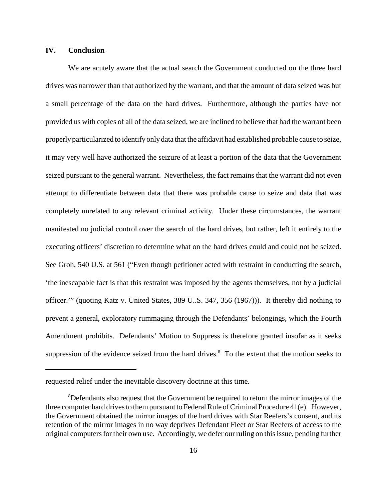## **IV. Conclusion**

We are acutely aware that the actual search the Government conducted on the three hard drives was narrower than that authorized by the warrant, and that the amount of data seized was but a small percentage of the data on the hard drives. Furthermore, although the parties have not provided us with copies of all of the data seized, we are inclined to believe that had the warrant been properlyparticularized to identify only data that the affidavit had established probable cause to seize, it may very well have authorized the seizure of at least a portion of the data that the Government seized pursuant to the general warrant. Nevertheless, the fact remains that the warrant did not even attempt to differentiate between data that there was probable cause to seize and data that was completely unrelated to any relevant criminal activity. Under these circumstances, the warrant manifested no judicial control over the search of the hard drives, but rather, left it entirely to the executing officers' discretion to determine what on the hard drives could and could not be seized. See Groh, 540 U.S. at 561 ("Even though petitioner acted with restraint in conducting the search, 'the inescapable fact is that this restraint was imposed by the agents themselves, not by a judicial officer.'" (quoting Katz v. United States, 389 U..S. 347, 356 (1967))). It thereby did nothing to prevent a general, exploratory rummaging through the Defendants' belongings, which the Fourth Amendment prohibits. Defendants' Motion to Suppress is therefore granted insofar as it seeks suppression of the evidence seized from the hard drives. $8\text{ T}$  To the extent that the motion seeks to

requested relief under the inevitable discovery doctrine at this time.

<sup>&</sup>lt;sup>8</sup>Defendants also request that the Government be required to return the mirror images of the three computer hard drives to them pursuant to Federal Rule of Criminal Procedure 41(e). However, the Government obtained the mirror images of the hard drives with Star Reefers's consent, and its retention of the mirror images in no way deprives Defendant Fleet or Star Reefers of access to the original computers for their own use. Accordingly, we defer our ruling on this issue, pending further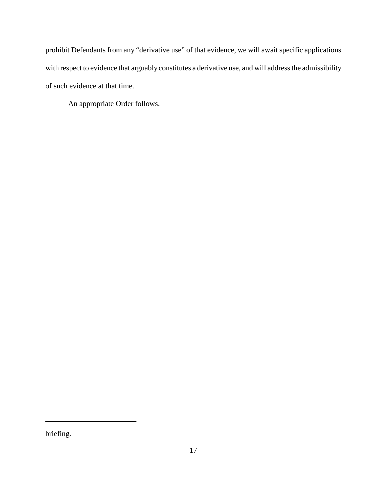prohibit Defendants from any "derivative use" of that evidence, we will await specific applications with respect to evidence that arguably constitutes a derivative use, and will address the admissibility of such evidence at that time.

An appropriate Order follows.

briefing.